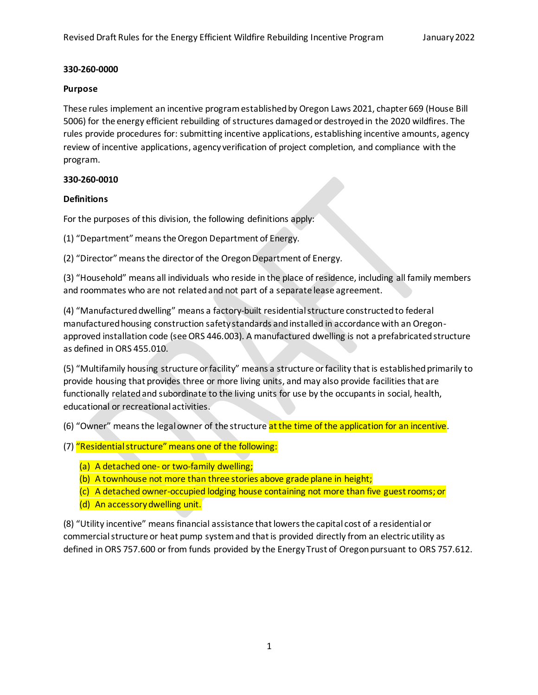#### **Purpose**

These rules implement an incentive program established by Oregon Laws 2021, chapter 669 (House Bill 5006) for the energy efficient rebuilding of structures damaged or destroyed in the 2020 wildfires. The rules provide procedures for: submitting incentive applications, establishing incentive amounts, agency review of incentive applications, agency verification of project completion, and compliance with the program.

### **330-260-0010**

## **Definitions**

For the purposes of this division, the following definitions apply:

(1) "Department" means the Oregon Department of Energy.

(2) "Director" means the director of the Oregon Department of Energy.

(3) "Household" means all individuals who reside in the place of residence, including all family members and roommates who are not related and not part of a separate lease agreement.

(4) "Manufactured dwelling" means a factory-built residential structure constructed to federal manufactured housing construction safety standards and installed in accordance with an Oregonapproved installation code (see ORS 446.003). A manufactured dwelling is not a prefabricated structure as defined in ORS 455.010.

(5) "Multifamily housing structure or facility" means a structure or facility that is established primarily to provide housing that provides three or more living units, and may also provide facilities that are functionally related and subordinate to the living units for use by the occupants in social, health, educational or recreational activities.

(6) "Owner" means the legal owner of the structure at the time of the application for an incentive.

- (7) "Residential structure" means one of the following:
	- (a) A detached one- or two-family dwelling;
	- (b) A townhouse not more than three stories above grade plane in height;
	- (c) A detached owner-occupied lodging house containing not more than five guest rooms; or
	- (d) An accessory dwelling unit.

(8) "Utility incentive" means financial assistance that lowers the capital cost of a residential or commercial structure or heat pump system and that is provided directly from an electric utility as defined in ORS 757.600 or from funds provided by the Energy Trust of Oregon pursuant to ORS 757.612.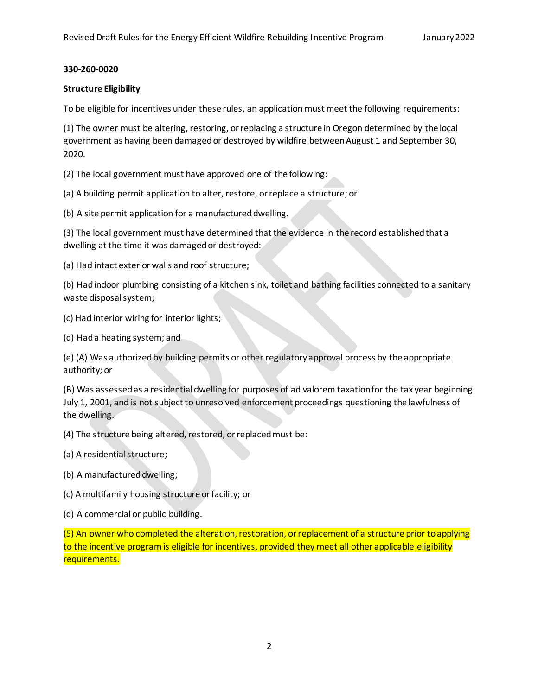### **Structure Eligibility**

To be eligible for incentives under these rules, an application must meet the following requirements:

(1) The owner must be altering, restoring, or replacing a structure in Oregon determined by the local government as having been damaged or destroyed by wildfire between August 1 and September 30, 2020.

(2) The local government must have approved one of the following:

(a) A building permit application to alter, restore, or replace a structure; or

(b) A site permit application for a manufactured dwelling.

(3) The local government must have determined that the evidence in the record established that a dwelling at the time it was damaged or destroyed:

(a) Had intact exterior walls and roof structure;

(b) Had indoor plumbing consisting of a kitchen sink, toilet and bathing facilities connected to a sanitary waste disposal system;

(c) Had interior wiring for interior lights;

(d) Had a heating system; and

(e) (A) Was authorized by building permits or other regulatory approval process by the appropriate authority; or

(B) Was assessed as a residential dwelling for purposes of ad valorem taxation for the tax year beginning July 1, 2001, and is not subject to unresolved enforcement proceedings questioning the lawfulness of the dwelling.

(4) The structure being altered, restored, or replaced must be:

- (a) A residential structure;
- (b) A manufactured dwelling;
- (c) A multifamily housing structure or facility; or
- (d) A commercial or public building.

(5) An owner who completed the alteration, restoration, or replacement of a structure prior to applying to the incentive program is eligible for incentives, provided they meet all other applicable eligibility requirements.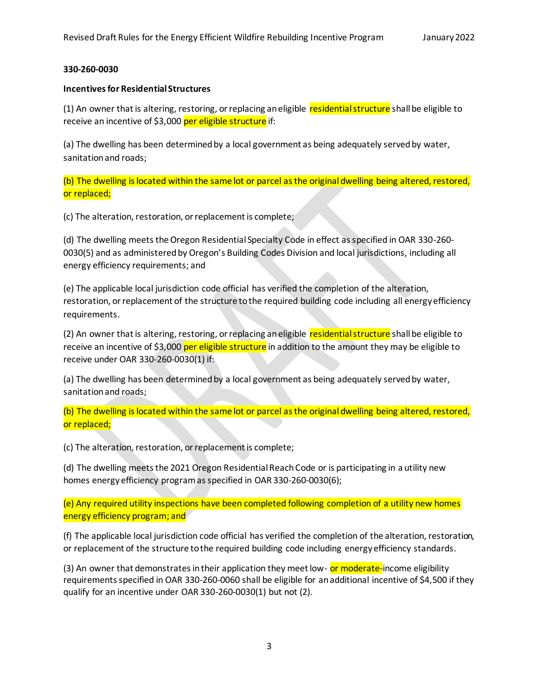#### **Incentives for Residential Structures**

(1) An owner that is altering, restoring, or replacing an eligible residential structure shall be eligible to receive an incentive of \$3,000 per eligible structure if:

(a) The dwelling has been determined by a local government as being adequately served by water, sanitation and roads;

(b) The dwelling is located within the same lot or parcel as the original dwelling being altered, restored, or replaced;

(c) The alteration, restoration, or replacement is complete;

(d) The dwelling meets the Oregon Residential Specialty Code in effect as specified in OAR 330-260- 0030(5) and as administered by Oregon's Building Codes Division and local jurisdictions, including all energy efficiency requirements; and

(e) The applicable local jurisdiction code official has verified the completion of the alteration, restoration, or replacement of the structure to the required building code including all energy efficiency requirements.

(2) An owner that is altering, restoring, or replacing an eligible residential structure shall be eligible to receive an incentive of \$3,000 per eligible structure in addition to the amount they may be eligible to receive under OAR 330-260-0030(1) if:

(a) The dwelling has been determined by a local government as being adequately served by water, sanitation and roads;

(b) The dwelling is located within the same lot or parcel as the original dwelling being altered, restored, or replaced;

(c) The alteration, restoration, or replacement is complete;

(d) The dwelling meets the 2021 Oregon Residential Reach Code or is participating in a utility new homes energy efficiency program as specified in OAR 330-260-0030(6);

(e) Any required utility inspections have been completed following completion of a utility new homes energy efficiency program; and

(f) The applicable local jurisdiction code official has verified the completion of the alteration, restoration, or replacement of the structure to the required building code including energy efficiency standards.

(3) An owner that demonstrates in their application they meet low- or moderate-income eligibility requirements specified in OAR 330-260-0060 shall be eligible for an additional incentive of \$4,500 if they qualify for an incentive under OAR 330-260-0030(1) but not (2).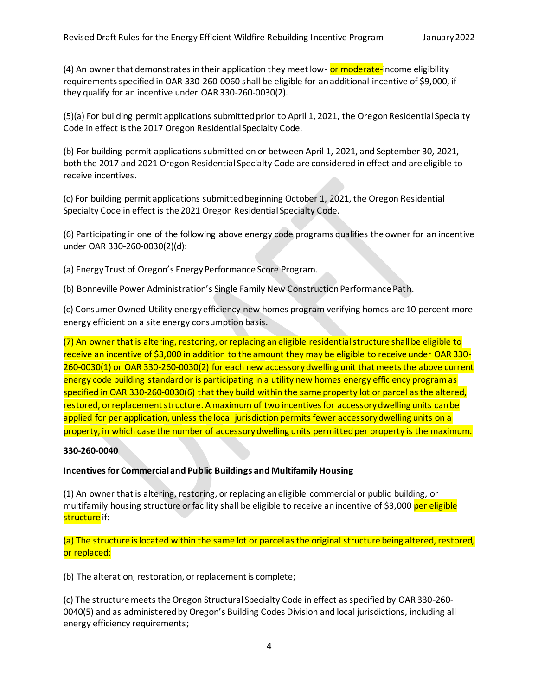(4) An owner that demonstrates in their application they meet low- or moderate-income eligibility requirements specified in OAR 330-260-0060 shall be eligible for an additional incentive of \$9,000, if they qualify for an incentive under OAR 330-260-0030(2).

(5)(a) For building permit applications submitted prior to April 1, 2021, the Oregon Residential Specialty Code in effect is the 2017 Oregon Residential Specialty Code.

(b) For building permit applications submitted on or between April 1, 2021, and September 30, 2021, both the 2017 and 2021 Oregon Residential Specialty Code are considered in effect and are eligible to receive incentives.

(c) For building permit applications submitted beginning October 1, 2021, the Oregon Residential Specialty Code in effect is the 2021 Oregon Residential Specialty Code.

(6) Participating in one of the following above energy code programs qualifies the owner for an incentive under OAR 330-260-0030(2)(d):

(a) Energy Trust of Oregon's Energy Performance Score Program.

(b) Bonneville Power Administration's Single Family New Construction Performance Path.

(c) Consumer Owned Utility energy efficiency new homes program verifying homes are 10 percent more energy efficient on a site energy consumption basis.

(7) An owner that is altering, restoring, or replacing an eligible residential structure shall be eligible to receive an incentive of \$3,000 in addition to the amount they may be eligible to receive under OAR 330- 260-0030(1) or OAR 330-260-0030(2) for each new accessory dwelling unit that meets the above current energy code building standard or is participating in a utility new homes energy efficiency program as specified in OAR 330-260-0030(6) that they build within the same property lot or parcel as the altered, restored, or replacement structure. A maximum of two incentives for accessory dwelling units can be applied for per application, unless the local jurisdiction permits fewer accessory dwelling units on a property, in which case the number of accessory dwelling units permitted per property is the maximum.

# **330-260-0040**

### **Incentives for Commercial and Public Buildings and Multifamily Housing**

(1) An owner that is altering, restoring, or replacing an eligible commercial or public building, or multifamily housing structure or facility shall be eligible to receive an incentive of \$3,000 per eligible structure if:

(a) The structure is located within the same lot or parcel as the original structure being altered, restored, or replaced;

(b) The alteration, restoration, or replacement is complete;

(c) The structure meets the Oregon Structural Specialty Code in effect as specified by OAR 330-260- 0040(5) and as administered by Oregon's Building Codes Division and local jurisdictions, including all energy efficiency requirements;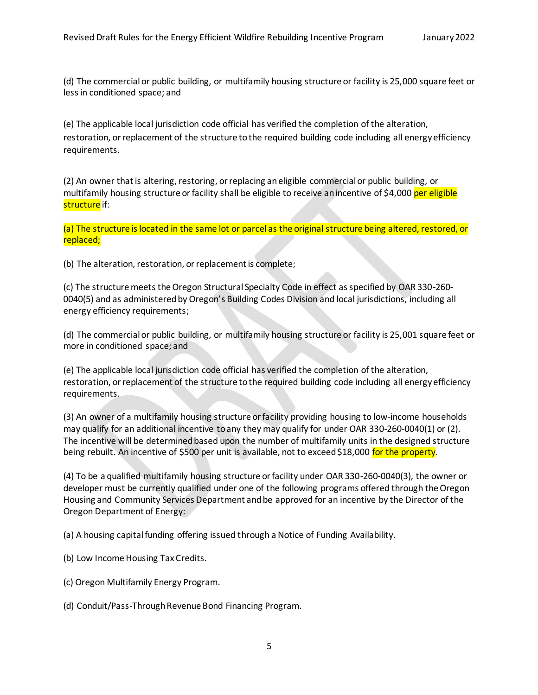(d) The commercial or public building, or multifamily housing structure or facility is 25,000 square feet or less in conditioned space; and

(e) The applicable local jurisdiction code official has verified the completion of the alteration, restoration, or replacement of the structure to the required building code including all energy efficiency requirements.

(2) An owner that is altering, restoring, or replacing an eligible commercial or public building, or multifamily housing structure or facility shall be eligible to receive an incentive of \$4,000 per eligible structure if:

(a) The structure is located in the same lot or parcel as the original structure being altered, restored, or replaced;

(b) The alteration, restoration, or replacement is complete;

(c) The structure meets the Oregon Structural Specialty Code in effect as specified by OAR 330-260- 0040(5) and as administered by Oregon's Building Codes Division and local jurisdictions, including all energy efficiency requirements;

(d) The commercial or public building, or multifamily housing structure or facility is 25,001 square feet or more in conditioned space; and

(e) The applicable local jurisdiction code official has verified the completion of the alteration, restoration, or replacement of the structure to the required building code including all energy efficiency requirements.

(3) An owner of a multifamily housing structure or facility providing housing to low-income households may qualify for an additional incentive to any they may qualify for under OAR 330-260-0040(1) or (2). The incentive will be determined based upon the number of multifamily units in the designed structure being rebuilt. An incentive of \$500 per unit is available, not to exceed \$18,000 for the property.

(4) To be a qualified multifamily housing structure or facility under OAR 330-260-0040(3), the owner or developer must be currently qualified under one of the following programs offered through the Oregon Housing and Community Services Department and be approved for an incentive by the Director of the Oregon Department of Energy:

(a) A housing capital funding offering issued through a Notice of Funding Availability.

- (b) Low Income Housing Tax Credits.
- (c) Oregon Multifamily Energy Program.
- (d) Conduit/Pass-Through Revenue Bond Financing Program.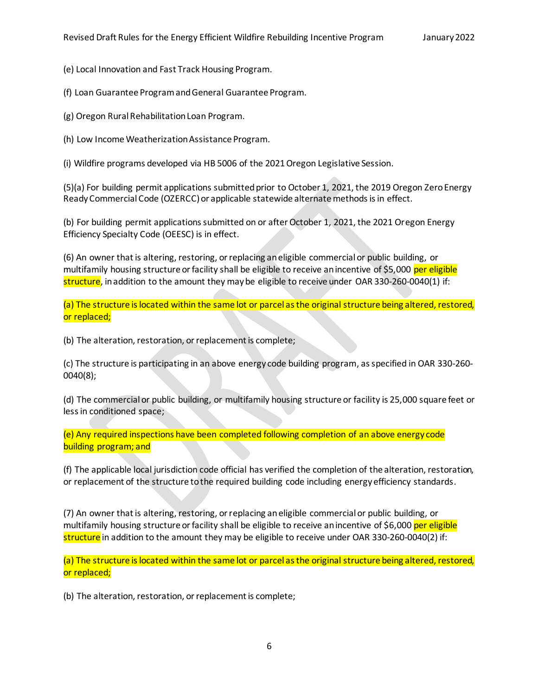(e) Local Innovation and Fast Track Housing Program.

(f) Loan Guarantee Program and General Guarantee Program.

(g) Oregon Rural Rehabilitation Loan Program.

(h) Low Income Weatherization Assistance Program.

(i) Wildfire programs developed via HB 5006 of the 2021 Oregon Legislative Session.

(5)(a) For building permit applications submitted prior to October 1, 2021, the 2019 Oregon Zero Energy Ready Commercial Code (OZERCC) or applicable statewide alternate methods is in effect.

(b) For building permit applications submitted on or after October 1, 2021, the 2021 Oregon Energy Efficiency Specialty Code (OEESC) is in effect.

(6) An owner that is altering, restoring, or replacing an eligible commercial or public building, or multifamily housing structure or facility shall be eligible to receive an incentive of \$5,000 per eligible structure, in addition to the amount they may be eligible to receive under OAR 330-260-0040(1) if:

(a) The structure is located within the same lot or parcel as the original structure being altered, restored, or replaced;

(b) The alteration, restoration, or replacement is complete;

(c) The structure is participating in an above energy code building program, as specified in OAR 330-260- 0040(8);

(d) The commercial or public building, or multifamily housing structure or facility is 25,000 square feet or less in conditioned space;

(e) Any required inspections have been completed following completion of an above energy code building program; and

(f) The applicable local jurisdiction code official has verified the completion of the alteration, restoration, or replacement of the structure to the required building code including energy efficiency standards.

(7) An owner that is altering, restoring, or replacing an eligible commercial or public building, or multifamily housing structure or facility shall be eligible to receive an incentive of \$6,000 per eligible structure in addition to the amount they may be eligible to receive under OAR 330-260-0040(2) if:

(a) The structure is located within the same lot or parcel as the original structure being altered, restored, or replaced;

(b) The alteration, restoration, or replacement is complete;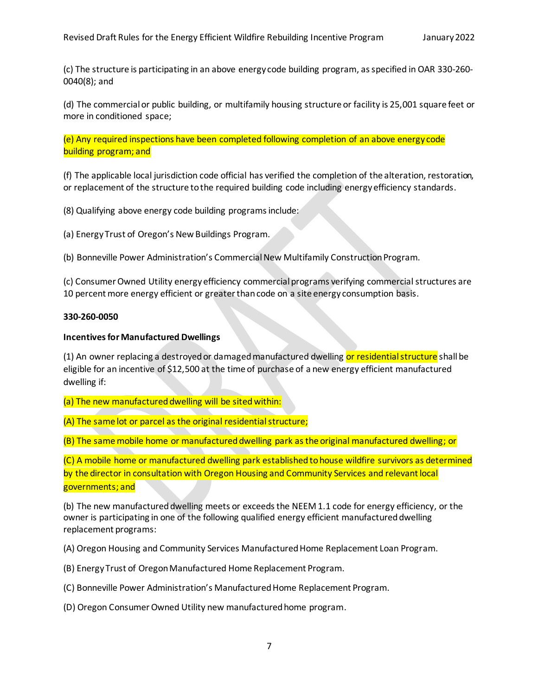(c) The structure is participating in an above energy code building program, as specified in OAR 330-260- 0040(8); and

(d) The commercial or public building, or multifamily housing structure or facility is 25,001 square feet or more in conditioned space;

(e) Any required inspections have been completed following completion of an above energy code building program; and

(f) The applicable local jurisdiction code official has verified the completion of the alteration, restoration, or replacement of the structure to the required building code including energy efficiency standards.

(8) Qualifying above energy code building programs include:

(a) Energy Trust of Oregon's New Buildings Program.

(b) Bonneville Power Administration's Commercial New Multifamily Construction Program.

(c) Consumer Owned Utility energy efficiency commercial programs verifying commercial structures are 10 percent more energy efficient or greater than code on a site energy consumption basis.

#### **330-260-0050**

#### **Incentives for Manufactured Dwellings**

(1) An owner replacing a destroyed or damaged manufactured dwelling or residential structure shall be eligible for an incentive of \$12,500 at the time of purchase of a new energy efficient manufactured dwelling if:

(a) The new manufactured dwelling will be sited within:

(A) The same lot or parcel as the original residential structure;

(B) The same mobile home or manufactured dwelling park as the original manufactured dwelling; or

(C) A mobile home or manufactured dwelling park establishedtohouse wildfire survivors as determined by the director in consultation with Oregon Housing and Community Services and relevant local governments; and

(b) The new manufactured dwelling meets or exceeds the NEEM 1.1 code for energy efficiency, or the owner is participating in one of the following qualified energy efficient manufactured dwelling replacement programs:

(A) Oregon Housing and Community Services Manufactured Home Replacement Loan Program.

(B) Energy Trust of Oregon Manufactured Home Replacement Program.

(C) Bonneville Power Administration's Manufactured Home Replacement Program.

(D) Oregon Consumer Owned Utility new manufactured home program.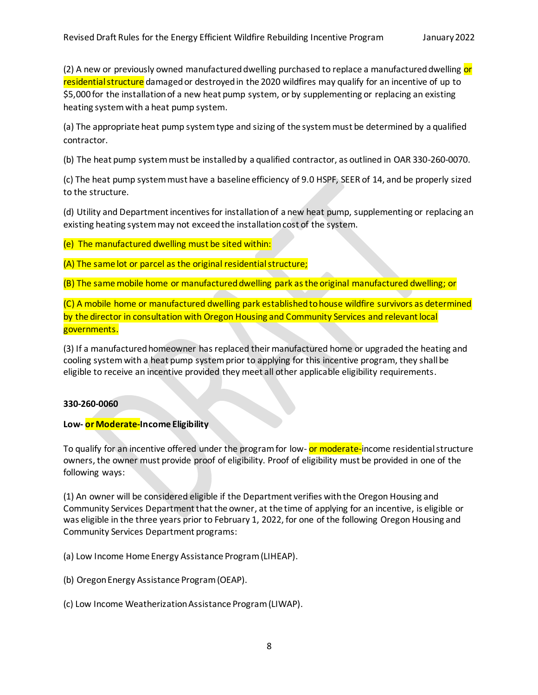(2) A new or previously owned manufactured dwelling purchased to replace a manufactured dwelling or residential structure damaged or destroyed in the 2020 wildfires may qualify for an incentive of up to \$5,000 for the installation of a new heat pump system, or by supplementing or replacing an existing heating system with a heat pump system.

(a) The appropriate heat pump system type and sizing of the system must be determined by a qualified contractor.

(b) The heat pump system must be installed by a qualified contractor, as outlined in OAR 330-260-0070.

(c) The heat pump system must have a baseline efficiency of 9.0 HSPF, SEER of 14, and be properly sized to the structure.

(d) Utility and Department incentives for installation of a new heat pump, supplementing or replacing an existing heating system may not exceed the installation cost of the system.

(e) The manufactured dwelling must be sited within:

(A) The same lot or parcel as the original residential structure;

(B) The same mobile home or manufactured dwelling park as the original manufactured dwelling; or

(C) A mobile home or manufactured dwelling park established to house wildfire survivors as determined by the director in consultation with Oregon Housing and Community Services and relevant local governments.

(3) If a manufactured homeowner has replaced their manufactured home or upgraded the heating and cooling system with a heat pump system prior to applying for this incentive program, they shall be eligible to receive an incentive provided they meet all other applicable eligibility requirements.

### **330-260-0060**

### **Low- or Moderate-Income Eligibility**

To qualify for an incentive offered under the program for low- or moderate-income residential structure owners, the owner must provide proof of eligibility. Proof of eligibility must be provided in one of the following ways:

(1) An owner will be considered eligible if the Department verifies with the Oregon Housing and Community Services Department that the owner, at the time of applying for an incentive, is eligible or was eligible in the three years prior to February 1, 2022, for one of the following Oregon Housing and Community Services Department programs:

(a) Low Income Home Energy Assistance Program (LIHEAP).

(b) Oregon Energy Assistance Program (OEAP).

(c) Low Income Weatherization Assistance Program (LIWAP).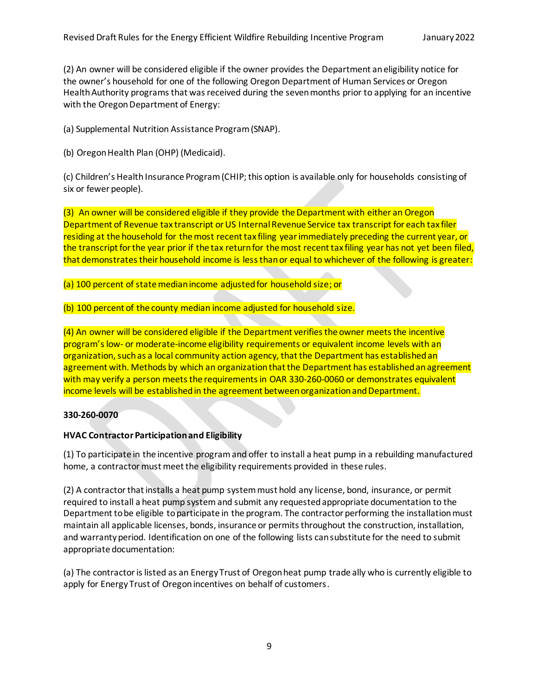(2) An owner will be considered eligible if the owner provides the Department an eligibility notice for the owner's household for one of the following Oregon Department of Human Services or Oregon Health Authority programs that was received during the seven months prior to applying for an incentive with the Oregon Department of Energy:

(a) Supplemental Nutrition Assistance Program (SNAP).

(b) Oregon Health Plan (OHP) (Medicaid).

(c) Children's Health Insurance Program (CHIP; this option is available only for households consisting of six or fewer people).

(3) An owner will be considered eligible if they provide the Department with either an Oregon Department of Revenue tax transcript or US Internal Revenue Service tax transcript for each tax filer residing at the household for the most recent tax filing year immediately preceding the current year, or the transcript for the year prior if the tax return for the most recent tax filing year has not yet been filed, that demonstrates their household income is less than or equal to whichever of the following is greater:

(a) 100 percent of state median income adjusted for household size; or

(b) 100 percent of the county median income adjusted for household size.

(4) An owner will be considered eligible if the Department verifies the owner meetsthe incentive program'slow- or moderate-income eligibility requirements or equivalent income levels with an organization, such as a local community action agency, that the Department has established an agreement with. Methods by which an organization that the Department has established an agreement with may verify a person meets the requirements in OAR 330-260-0060 or demonstrates equivalent income levels will be established in the agreement between organization and Department.

### **330-260-0070**

### **HVAC Contractor Participation and Eligibility**

(1) To participate in the incentive program and offer to install a heat pump in a rebuilding manufactured home, a contractor must meet the eligibility requirements provided in these rules.

(2) A contractor that installs a heat pump system must hold any license, bond, insurance, or permit required to install a heat pump system and submit any requested appropriate documentation to the Department to be eligible to participate in the program. The contractor performing the installation must maintain all applicable licenses, bonds, insurance or permits throughout the construction, installation, and warranty period. Identification on one of the following lists can substitute for the need to submit appropriate documentation:

(a) The contractor islisted as an Energy Trust of Oregon heat pump trade ally who is currently eligible to apply for Energy Trust of Oregon incentives on behalf of customers.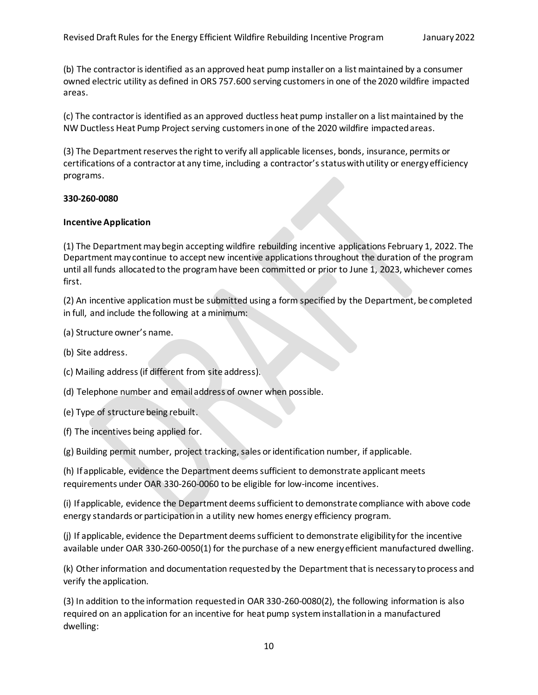(b) The contractor is identified as an approved heat pump installer on a list maintained by a consumer owned electric utility as defined in ORS 757.600 serving customers in one of the 2020 wildfire impacted areas.

(c) The contractor is identified as an approved ductless heat pump installer on a list maintained by the NW Ductless Heat Pump Project serving customers in one of the 2020 wildfire impacted areas.

(3) The Department reserves the right to verify all applicable licenses, bonds, insurance, permits or certifications of a contractor at any time, including a contractor's status with utility or energy efficiency programs.

#### **330-260-0080**

#### **Incentive Application**

(1) The Department may begin accepting wildfire rebuilding incentive applications February 1, 2022. The Department may continue to accept new incentive applications throughout the duration of the program until all funds allocated to the program have been committed or prior to June 1, 2023, whichever comes first.

(2) An incentive application must be submitted using a form specified by the Department, be completed in full, and include the following at a minimum:

- (a) Structure owner's name.
- (b) Site address.
- (c) Mailing address (if different from site address).

(d) Telephone number and email address of owner when possible.

- (e) Type of structure being rebuilt.
- (f) The incentives being applied for.

(g) Building permit number, project tracking, sales or identification number, if applicable.

(h) If applicable, evidence the Department deems sufficient to demonstrate applicant meets requirements under OAR 330-260-0060 to be eligible for low-income incentives.

(i) If applicable, evidence the Department deems sufficient to demonstrate compliance with above code energy standards or participation in a utility new homes energy efficiency program.

(j) If applicable, evidence the Department deems sufficient to demonstrate eligibility for the incentive available under OAR 330-260-0050(1) for the purchase of a new energy efficient manufactured dwelling.

(k) Other information and documentation requested by the Department that is necessary to process and verify the application.

(3) In addition to the information requested in OAR 330-260-0080(2), the following information is also required on an application for an incentive for heat pump system installation in a manufactured dwelling: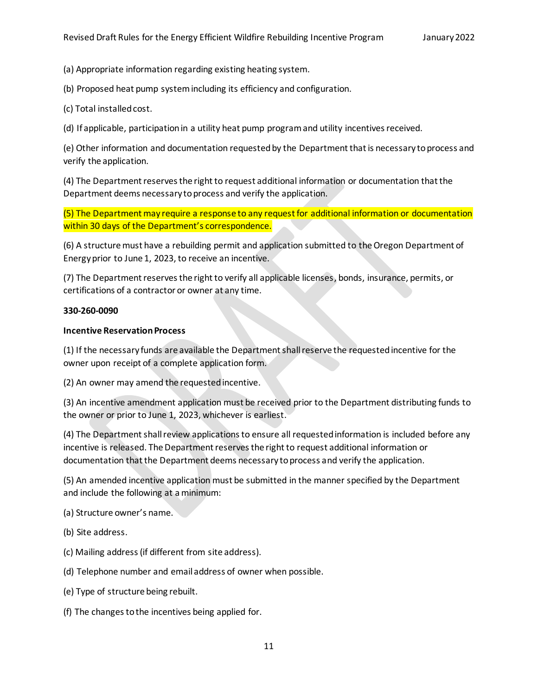(a) Appropriate information regarding existing heating system.

(b) Proposed heat pump system including its efficiency and configuration.

(c) Total installedcost.

(d) If applicable, participation in a utility heat pump program and utility incentives received.

(e) Other information and documentation requested by the Department that is necessary to process and verify the application.

(4) The Department reserves the right to request additional information or documentation that the Department deems necessary to process and verify the application.

(5) The Department may require a response to any request for additional information or documentation within 30 days of the Department's correspondence.

(6) A structure must have a rebuilding permit and application submitted to the Oregon Department of Energyprior to June 1, 2023, to receive an incentive.

(7) The Department reserves the right to verify all applicable licenses, bonds, insurance, permits, or certifications of a contractor or owner at any time.

### **330-260-0090**

### **Incentive ReservationProcess**

(1) If the necessary funds are available the Department shall reserve the requested incentive for the owner upon receipt of a complete application form.

(2) An owner may amend the requested incentive.

(3) An incentive amendment application must be received prior to the Department distributing funds to the owner or prior to June 1, 2023, whichever is earliest.

(4) The Department shallreview applicationsto ensure all requested information is included before any incentive is released. The Department reserves the right to request additional information or documentation that the Department deems necessary to process and verify the application.

(5) An amended incentive application must be submitted in the manner specified by the Department and include the following at a minimum:

(a) Structure owner's name.

(b) Site address.

- (c) Mailing address (if different from site address).
- (d) Telephone number and email address of owner when possible.
- (e) Type of structure being rebuilt.
- (f) The changes to the incentives being applied for.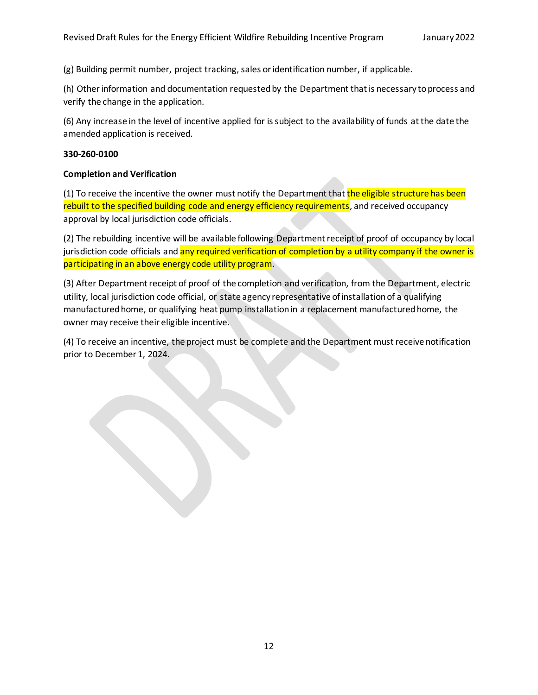(g) Building permit number, project tracking, sales or identification number, if applicable.

(h) Other information and documentation requested by the Department that is necessary to process and verify the change in the application.

(6) Any increase in the level of incentive applied for is subject to the availability of funds at the date the amended application is received.

#### **330-260-0100**

#### **Completion and Verification**

(1) To receive the incentive the owner must notify the Department that the eligible structure has been rebuilt to the specified building code and energy efficiency requirements, and received occupancy approval by local jurisdiction code officials.

(2) The rebuilding incentive will be available following Department receipt of proof of occupancy by local jurisdiction code officials and any required verification of completion by a utility company if the owner is participating in an above energy code utility program.

(3) After Department receipt of proof of the completion and verification, from the Department, electric utility, local jurisdiction code official, or state agency representative of installation of a qualifying manufactured home, or qualifying heat pump installation in a replacement manufactured home, the owner may receive their eligible incentive.

(4) To receive an incentive, the project must be complete and the Department must receive notification prior to December 1, 2024.